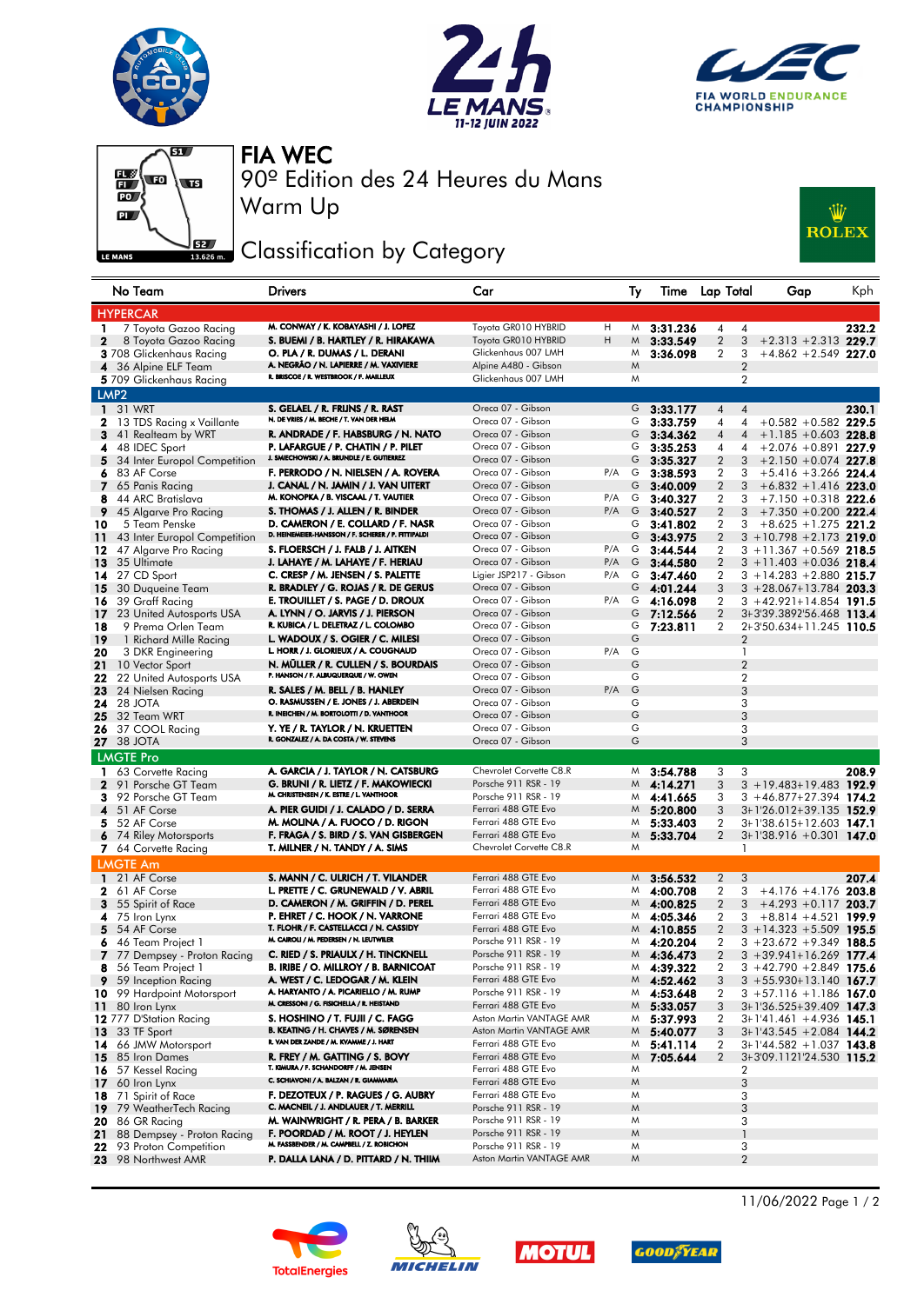







Warm Up 90º Edition des 24 Heures du Mans FIA WEC

## Classification by Category



| No Team                                             | <b>Drivers</b>                                                                          | Car                                    |            | Ty     |                              | Time Lap Total          | Gap                                                       | Kph   |
|-----------------------------------------------------|-----------------------------------------------------------------------------------------|----------------------------------------|------------|--------|------------------------------|-------------------------|-----------------------------------------------------------|-------|
| <b>HYPERCAR</b>                                     |                                                                                         |                                        |            |        |                              |                         |                                                           |       |
| 7 Toyota Gazoo Racing<br>1                          | M. CONWAY / K. KOBAYASHI / J. LOPEZ                                                     | Toyota GR010 HYBRID                    | H          | M      | 3:31.236                     | 4                       | 4                                                         | 232.2 |
| $\mathbf{2}$<br>8 Toyota Gazoo Racing               | S. BUEMI / B. HARTLEY / R. HIRAKAWA                                                     | Toyota GR010 HYBRID                    | н          | M      | 3:33.549                     | $\overline{2}$          | 3<br>$+2.313 + 2.313$ 229.7                               |       |
| 3 708 Glickenhaus Racing                            | O. PLA / R. DUMAS / L. DERANI                                                           | Glickenhaus 007 LMH                    |            | M      | 3:36.098                     | 2                       | 3<br>$+4.862 + 2.549$ 227.0                               |       |
| 36 Alpine ELF Team<br>4                             | A. NEGRÃO / N. LAPIERRE / M. VAXIVIERE                                                  | Alpine A480 - Gibson                   |            | M      |                              |                         | $\overline{2}$                                            |       |
| 5 709 Glickenhaus Racing                            | R. BRISCOE / R. WESTBROOK / F. MAILLEUX                                                 | Glickenhaus 007 LMH                    |            | M      |                              |                         | $\overline{2}$                                            |       |
| LMP <sub>2</sub>                                    |                                                                                         |                                        |            |        |                              |                         |                                                           |       |
| <b>1</b> 31 WRT                                     | S. GELAEL / R. FRIJNS / R. RAST                                                         | Oreca 07 - Gibson                      |            | G      | 3:33.177                     | 4                       | 4                                                         | 230.1 |
| 2 13 TDS Racing x Vaillante                         | N. DE VRIES / M. BECHE / T. VAN DER HELM                                                | Oreca 07 - Gibson                      |            | G      | 3:33.759                     | 4                       | $+0.582 + 0.582$ 229.5<br>4                               |       |
| 3<br>41 Realteam by WRT                             | R. ANDRADE / F. HABSBURG / N. NATO                                                      | Oreca 07 - Gibson                      |            | G      | 3:34.362                     | 4                       | $+1.185 + 0.603$ 228.8<br>$\overline{4}$                  |       |
| 4 48 IDEC Sport                                     | P. LAFARGUE / P. CHATIN / P. PILET                                                      | Oreca 07 - Gibson                      |            | G      | 3:35.253                     | 4                       | $+2.076 +0.891$ 227.9<br>4                                |       |
| 5.<br>34 Inter Europol Competition                  | J. SMIECHOWSKI / A. BRUNDLE / E. GUTIERREZ                                              | Oreca 07 - Gibson                      |            | G      | 3:35.327                     | $\overline{2}$          | 3<br>$+2.150 + 0.074$ 227.8                               |       |
| 83 AF Corse<br>6                                    | F. PERRODO / N. NIELSEN / A. ROVERA                                                     | Oreca 07 - Gibson                      | P/A        |        | $G$ 3:38.593                 | 2                       | 3<br>$+5.416 + 3.266$ 224.4                               |       |
| 7 65 Panis Racing                                   | J. CANAL / N. JAMIN / J. VAN UITERT                                                     | Oreca 07 - Gibson                      |            |        | $G = 3:40.009$               | $\overline{2}$          | 3<br>$+6.832 + 1.416$ 223.0                               |       |
| 44 ARC Bratislava<br>8                              | M. KONOPKA / B. VISCAAL / T. VAUTIER                                                    | Oreca 07 - Gibson                      | P/A        | G      | 3:40.327                     | $\overline{2}$          | $+7.150 + 0.318$ 222.6<br>3                               |       |
| 9<br>45 Algarve Pro Racing                          | S. THOMAS / J. ALLEN / R. BINDER                                                        | Oreca 07 - Gibson                      | P/A        | G      | 3:40.527                     | $\overline{2}$          | 3<br>$+7.350 + 0.200$ 222.4                               |       |
| 5 Team Penske<br>10                                 | D. CAMERON / E. COLLARD / F. NASR<br>D. HEINEMEIER-HANSSON / F. SCHERER / P. FITTIPALDI | Oreca 07 - Gibson                      |            |        | $G$ 3:41.802                 | $\overline{2}$          | 3<br>$+8.625 + 1.275$ 221.2                               |       |
| 11<br>43 Inter Europol Competition                  |                                                                                         | Oreca 07 - Gibson                      |            |        | $G$ 3:43.975                 | $\overline{2}$          | $3 + 10.798 + 2.173$ 219.0                                |       |
| 12<br>47 Algarve Pro Racing                         | S. FLOERSCH / J. FALB / J. AITKEN<br>J. LAHAYE / M. LAHAYE / F. HERIAU                  | Oreca 07 - Gibson<br>Oreca 07 - Gibson | P/A<br>P/A | G<br>G | 3:44.544                     | 2                       | $3 + 11.367 + 0.569$ 218.5                                |       |
| 35 Ultimate<br>13                                   | C. CRESP / M. JENSEN / S. PALETTE                                                       | Ligier JSP217 - Gibson                 | P/A        |        | 3:44.580                     | $\overline{2}$          | $3 + 11.403 + 0.036$ 218.4                                |       |
| 14 27 CD Sport                                      | R. BRADLEY / G. ROJAS / R. DE GERUS                                                     | Oreca 07 - Gibson                      |            |        | $G$ 3:47.460<br>$G$ 4:01.244 | 2<br>3                  | $3 + 14.283 + 2.880$ 215.7<br>$3 + 28.067 + 13.784$ 203.3 |       |
| <b>15</b> 30 Duqueine Team<br>39 Graff Racing<br>16 | E. TROUILLET / S. PAGE / D. DROUX                                                       | Oreca 07 - Gibson                      | P/A        |        | $G$ 4:16.098                 | 2                       | $3 + 42.921 + 14.854$ 191.5                               |       |
| <b>17</b> 23 United Autosports USA                  | A. LYNN / O. JARVIS / J. PIERSON                                                        | Oreca 07 - Gibson                      |            | G      | 7:12.566                     | $\overline{\mathbf{c}}$ | 3+3'39.3892'56.468 113.4                                  |       |
| 18<br>9 Prema Orlen Team                            | R. KUBICA / L. DELETRAZ / L. COLOMBO                                                    | Oreca 07 - Gibson                      |            | G      | 7:23.811                     | 2                       | 2+3'50.634+11.245 110.5                                   |       |
| 19<br>1 Richard Mille Racing                        | L. WADOUX / S. OGIER / C. MILESI                                                        | Oreca 07 - Gibson                      |            | G      |                              |                         | 2                                                         |       |
| 20<br>3 DKR Engineering                             | L. HORR / J. GLORIEUX / A. COUGNAUD                                                     | Oreca 07 - Gibson                      | P/A        | G      |                              |                         | $\mathbf{1}$                                              |       |
| 21<br>10 Vector Sport                               | N. MÜLLER / R. CULLEN / S. BOURDAIS                                                     | Oreca 07 - Gibson                      |            | G      |                              |                         | $\overline{2}$                                            |       |
| 22<br>22 United Autosports USA                      | P. HANSON / F. ALBUQUERQUE / W. OWEN                                                    | Oreca 07 - Gibson                      |            | G      |                              |                         | $\overline{2}$                                            |       |
| 23<br>24 Nielsen Racing                             | R. SALES / M. BELL / B. HANLEY                                                          | Oreca 07 - Gibson                      | P/A        | G      |                              |                         | 3                                                         |       |
| <b>24</b> 28 JOTA                                   | O. RASMUSSEN / E. JONES / J. ABERDEIN                                                   | Oreca 07 - Gibson                      |            | G      |                              |                         | 3                                                         |       |
| 25<br>32 Team WRT                                   | R. INEICHEN / M. BORTOLOTTI / D. VANTHOOR                                               | Oreca 07 - Gibson                      |            | G      |                              |                         | 3                                                         |       |
| 26<br>37 COOL Racing                                | Y. YE / R. TAYLOR / N. KRUETTEN                                                         | Oreca 07 - Gibson                      |            | G      |                              |                         | 3                                                         |       |
| <b>27</b> 38 JOTA                                   | R. GONZALEZ / A. DA COSTA / W. STEVENS                                                  | Oreca 07 - Gibson                      |            | G      |                              |                         | 3                                                         |       |
| <b>LMGTE Pro</b>                                    |                                                                                         |                                        |            |        |                              |                         |                                                           |       |
| 63 Corvette Racing<br>1.                            | A. GARCIA / J. TAYLOR / N. CATSBURG                                                     | Chevrolet Corvette C8.R                |            |        | $M$ 3:54.788                 | 3                       | 3                                                         | 208.9 |
| 91 Porsche GT Team<br>$\mathbf{2}$                  | G. BRUNI / R. LIETZ / F. MAKOWIECKI                                                     | Porsche 911 RSR - 19                   |            |        | $M$ 4:14.271                 | 3                       | $3 + 19.483 + 19.483$ 192.9                               |       |
| 92 Porsche GT Team<br>3                             | M. CHRISTENSEN / K. ESTRE / L. VANTHOOR                                                 | Porsche 911 RSR - 19                   |            |        | $M$ 4:41.665                 | 3                       | $3 + 46.877 + 27.394$ 174.2                               |       |
| 4 51 AF Corse                                       | A. PIER GUIDI / J. CALADO / D. SERRA                                                    | Ferrari 488 GTE Evo                    |            |        | $M$ 5:20.800                 | 3                       | 3+1'26.012+39.135 152.9                                   |       |
| 5 52 AF Corse                                       | M. MOLINA / A. FUOCO / D. RIGON                                                         | Ferrari 488 GTE Evo                    |            |        | $M$ 5:33.403                 | 2                       | 3+1'38.615+12.603 147.1                                   |       |
| 6 74 Riley Motorsports                              | F. FRAGA / S. BIRD / S. VAN GISBERGEN                                                   | Ferrari 488 GTE Evo                    |            | M      | 5:33.704                     | $\overline{2}$          | 3+1'38.916 +0.301 147.0                                   |       |
| 7 64 Corvette Racing                                | T. MILNER / N. TANDY / A. SIMS                                                          | Chevrolet Corvette C8.R                |            | M      |                              |                         | 1                                                         |       |
| <b>LMGTE Am</b>                                     |                                                                                         |                                        |            |        |                              |                         |                                                           |       |
| 1 21 AF Corse                                       | S. MANN / C. ULRICH / T. VILANDER                                                       | Ferrari 488 GTE Evo                    |            | M      | 3:56.532                     | $\overline{2}$          | 3                                                         | 207.4 |
| 2 61 AF Corse                                       | L. PRETTE / C. GRUNEWALD / V. ABRIL                                                     | Ferrari 488 GTE Evo                    |            |        | $M$ 4:00.708                 | $\overline{2}$          | 3<br>$+4.176 + 4.176$ 203.8                               |       |
| 55 Spirit of Race<br>3                              | D. CAMERON / M. GRIFFIN / D. PEREL                                                      | Ferrari 488 GTE Evo                    |            |        | $M$ 4:00.825                 | $\overline{2}$          | 3<br>$+4.293 +0.117$ 203.7                                |       |
| 4<br>75 Iron Lynx                                   | P. EHRET / C. HOOK / N. VARRONE                                                         | Ferrari 488 GTE Evo                    |            |        | $M$ 4:05.346                 | 2                       | $+8.814 + 4.521$ 199.9<br>3                               |       |
| 5 54 AF Corse                                       | T. FLOHR / F. CASTELLACCI / N. CASSIDY                                                  | Ferrari 488 GTE Evo                    |            |        | $M$ 4:10.855                 | $\overline{2}$          | $3 + 14.323 + 5.509$ 195.5                                |       |
| 46 Team Project 1<br>6                              | M. CAIROLI / M. PEDERSEN / N. LEUTWILER                                                 | Porsche 911 RSR - 19                   |            |        | $M$ 4:20.204                 | $\overline{2}$          | $3 + 23.672 + 9.349$ 188.5                                |       |
| 7 77 Dempsey - Proton Racing                        | C. RIED / S. PRIAULX / H. TINCKNELL                                                     | Porsche 911 RSR - 19                   |            |        | $M$ 4:36.473                 | $\mathbf{z}$            | $3 + 39.941 + 16.269$ 177.4                               |       |
| 8 56 Team Project 1                                 | B. IRIBE / O. MILLROY / B. BARNICOAT                                                    | Porsche 911 RSR - 19                   |            |        | $M$ 4:39.322                 | 2                       | $3 + 42.790 + 2.849$ 175.6                                |       |
| <b>9</b> 59 Inception Racing                        | A. WEST / C. LEDOGAR / M. KLEIN                                                         | Ferrari 488 GTE Evo                    |            |        | $M$ 4:52.462                 | 3                       | $3 + 55.930 + 13.140$ 167.7                               |       |
| 10 99 Hardpoint Motorsport                          | A. HARYANTO / A. PICARIELLO / M. RUMP                                                   | Porsche 911 RSR - 19                   |            | M      | 4:53.648                     | 2                       | 3 +57.116 +1.186 <b>167.0</b>                             |       |
| 80 Iron Lynx<br>11                                  | M. CRESSONI / G. FISICHELLA / R. HEISTAND                                               | Ferrari 488 GTE Evo                    |            | M.     | 5:33.057                     | 3                       | 3+1'36.525+39.409 147.3                                   |       |
| 12 777 D'Station Racing                             | S. HOSHINO / T. FUJII / C. FAGG                                                         | Aston Martin VANTAGE AMR               |            |        | $M$ 5:37.993                 | 2                       | 3+1'41.461 +4.936 145.1                                   |       |
| 33 TF Sport<br>13                                   | B. KEATING / H. CHAVES / M. SØRENSEN                                                    | Aston Martin VANTAGE AMR               |            | M.     | 5:40.077                     | 3                       | $3+1'43.545 + 2.084$ 144.2                                |       |
| 66 JMW Motorsport<br>14                             | R. VAN DER ZANDE / M. KVAMME / J. HART                                                  | Ferrari 488 GTE Evo                    |            | M.     | 5:41.114                     | 2                       | $3+1'44.582 + 1.037$ 143.8                                |       |
| 15<br>85 Iron Dames                                 | R. FREY / M. GATTING / S. BOVY                                                          | Ferrari 488 GTE Evo                    |            | M      | 7:05.644                     | $\overline{2}$          | 3+3'09.1121'24.530 115.2                                  |       |
| 16<br>57 Kessel Racing                              | T. KIMURA / F. SCHANDORFF / M. JENSEN                                                   | Ferrari 488 GTE Evo                    |            | M      |                              |                         | 2                                                         |       |
| 17<br>60 Iron Lynx                                  | C. SCHIAVONI / A. BALZAN / R. GIAMMARIA                                                 | Ferrari 488 GTE Evo                    |            | Μ      |                              |                         | 3                                                         |       |
| 71 Spirit of Race<br>18                             | F. DEZOTEUX / P. RAGUES / G. AUBRY                                                      | Ferrari 488 GTE Evo                    |            | M      |                              |                         | 3                                                         |       |
| 79 WeatherTech Racing<br>19.                        | C. MACNEIL / J. ANDLAUER / T. MERRILL                                                   | Porsche 911 RSR - 19                   |            | Μ      |                              |                         | 3                                                         |       |
| 20 86 GR Racing                                     | M. WAINWRIGHT / R. PERA / B. BARKER                                                     | Porsche 911 RSR - 19                   |            | M      |                              |                         | 3                                                         |       |
| 21<br>88 Dempsey - Proton Racing                    | F. POORDAD / M. ROOT / J. HEYLEN<br>M. FASSBENDER / M. CAMPBELL / Z. ROBICHON           | Porsche 911 RSR - 19                   |            | M      |                              |                         | $\mathbf{1}$                                              |       |
| 22 93 Proton Competition                            |                                                                                         | Porsche 911 RSR - 19                   |            | M      |                              |                         | 3                                                         |       |
| 23 98 Northwest AMR                                 | P. DALLA LANA / D. PITTARD / N. THIIM                                                   | Aston Martin VANTAGE AMR               |            | Μ      |                              |                         | $\overline{2}$                                            |       |









11/06/2022 Page 1 / 2